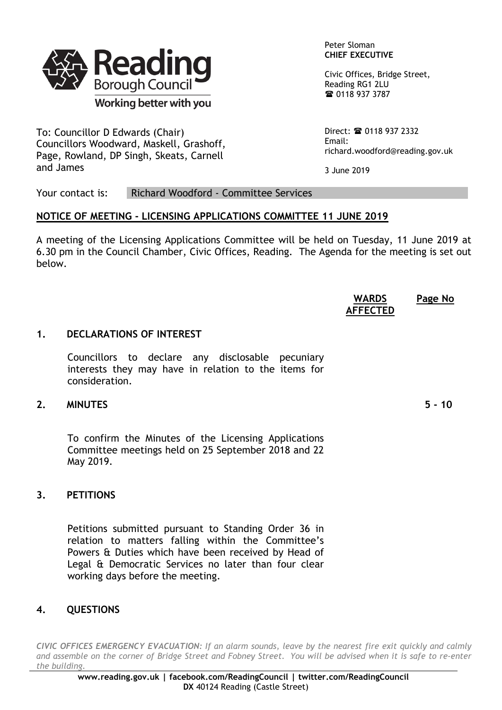

To: Councillor D Edwards (Chair) Councillors Woodward, Maskell, Grashoff, Page, Rowland, DP Singh, Skeats, Carnell and James

Peter Sloman **CHIEF EXECUTIVE**

Civic Offices, Bridge Street, Reading RG1 2LU ■ 0118 937 3787

Direct: **2** 0118 937 2332 Email: richard.woodford@reading.gov.uk

3 June 2019

# Your contact is: Richard Woodford - Committee Services

## **NOTICE OF MEETING - LICENSING APPLICATIONS COMMITTEE 11 JUNE 2019**

A meeting of the Licensing Applications Committee will be held on Tuesday, 11 June 2019 at 6.30 pm in the Council Chamber, Civic Offices, Reading. The Agenda for the meeting is set out below.

> **WARDS AFFECTED Page No**

### **1. DECLARATIONS OF INTEREST**

Councillors to declare any disclosable pecuniary interests they may have in relation to the items for consideration.

## **2. MINUTES 5 - 10**

To confirm the Minutes of the Licensing Applications Committee meetings held on 25 September 2018 and 22 May 2019.

## **3. PETITIONS**

Petitions submitted pursuant to Standing Order 36 in relation to matters falling within the Committee's Powers & Duties which have been received by Head of Legal & Democratic Services no later than four clear working days before the meeting.

## **4. QUESTIONS**

*CIVIC OFFICES EMERGENCY EVACUATION: If an alarm sounds, leave by the nearest fire exit quickly and calmly* and assemble on the corner of Bridge Street and Fobney Street. You will be advised when it is safe to re-enter *the building.*